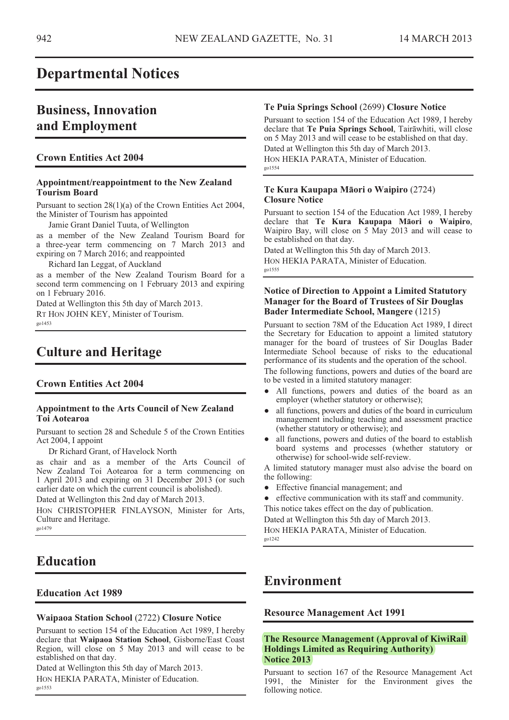## **Departmental Notices**

# **Business, Innovation and Employment**

## **Crown Entities Act 2004**

### **Appointment/reappointment to the New Zealand Tourism Board**

Pursuant to section 28(1)(a) of the Crown Entities Act 2004, the Minister of Tourism has appointed

Jamie Grant Daniel Tuuta, of Wellington

as a member of the New Zealand Tourism Board for a three-year term commencing on 7 March 2013 and expiring on 7 March 2016; and reappointed

Richard Ian Leggat, of Auckland

as a member of the New Zealand Tourism Board for a second term commencing on 1 February 2013 and expiring on 1 February 2016.

Dated at Wellington this 5th day of March 2013. RT HON JOHN KEY, Minister of Tourism. go1453

# **Culture and Heritage**

### **Crown Entities Act 2004**

#### **Appointment to the Arts Council of New Zealand Toi Aotearoa**

Pursuant to section 28 and Schedule 5 of the Crown Entities Act 2004, I appoint

Dr Richard Grant, of Havelock North

as chair and as a member of the Arts Council of New Zealand Toi Aotearoa for a term commencing on 1 April 2013 and expiring on 31 December 2013 (or such earlier date on which the current council is abolished).

Dated at Wellington this 2nd day of March 2013.

HON CHRISTOPHER FINLAYSON, Minister for Arts, Culture and Heritage. go1479

# **Education**

### **Education Act 1989**

#### **Waipaoa Station School** (2722) **Closure Notice**

Pursuant to section 154 of the Education Act 1989, I hereby declare that **Waipaoa Station School**, Gisborne/East Coast Region, will close on 5 May 2013 and will cease to be established on that day.

Dated at Wellington this 5th day of March 2013. HON HEKIA PARATA, Minister of Education. go1553

### **Te Puia Springs School** (2699) **Closure Notice**

Pursuant to section 154 of the Education Act 1989, I hereby declare that Te Puia Springs School, Tairawhiti, will close on 5 May 2013 and will cease to be established on that day. Dated at Wellington this 5th day of March 2013. HON HEKIA PARATA, Minister of Education. go1554

#### **Te Kura Kaupapa Māori o Waipiro** (2724) **Closure Notice**

Pursuant to section 154 of the Education Act 1989, I hereby declare that Te Kura Kaupapa Maori o Waipiro, Waipiro Bay, will close on 5 May 2013 and will cease to be established on that day.

Dated at Wellington this 5th day of March 2013. HON HEKIA PARATA, Minister of Education. go1555

### **Notice of Direction to Appoint a Limited Statutory Manager for the Board of Trustees of Sir Douglas Bader Intermediate School, Mangere** (1215)

Pursuant to section 78M of the Education Act 1989, I direct the Secretary for Education to appoint a limited statutory manager for the board of trustees of Sir Douglas Bader Intermediate School because of risks to the educational performance of its students and the operation of the school. The following functions, powers and duties of the board are

to be vested in a limited statutory manager:

- All functions, powers and duties of the board as an employer (whether statutory or otherwise);
- all functions, powers and duties of the board in curriculum management including teaching and assessment practice (whether statutory or otherwise); and
- all functions, powers and duties of the board to establish board systems and processes (whether statutory or otherwise) for school-wide self-review.

A limited statutory manager must also advise the board on the following:

- Effective financial management; and
- effective communication with its staff and community.

This notice takes effect on the day of publication. Dated at Wellington this 5th day of March 2013. HON HEKIA PARATA, Minister of Education.

go1242

## **Environment**

### **Resource Management Act 1991**

### **The Resource Management (Approval of KiwiRail Holdings Limited as Requiring Authority) Notice 2013**

Pursuant to section 167 of the Resource Management Act 1991, the Minister for the Environment gives the following notice.